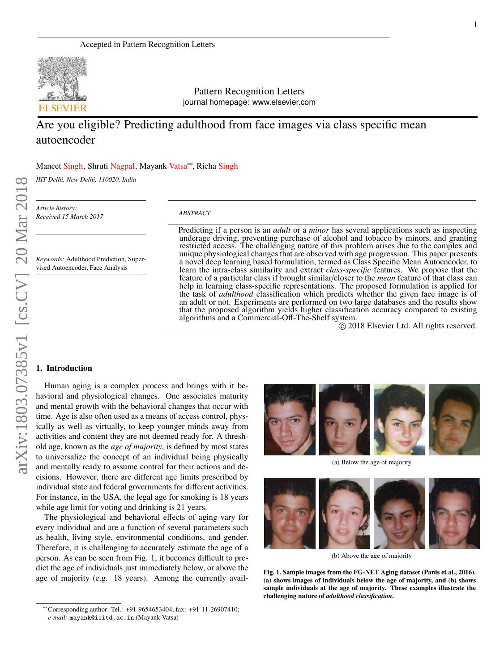

Pattern Recognition Letters journal homepage: www.elsevier.com

# Are you eligible? Predicting adulthood from face images via class specific mean autoencoder

Maneet Singh, Shruti Nagpal, Mayank Vatsa∗∗, Richa Singh

*IIIT-Delhi, New Delhi, 110020, India*

*Keywords:* Adulthood Prediction, Supervised Autoencoder, Face Analysis

*Article history: Received 15 March 2017*

#### *ABSTRACT*

Predicting if a person is an *adult* or a *minor* has several applications such as inspecting underage driving, preventing purchase of alcohol and tobacco by minors, and granting restricted access. The challenging nature of this problem arises due to the complex and unique physiological changes that are observed with age progression. This paper presents a novel deep learning based formulation, termed as Class Specific Mean Autoencoder, to learn the intra-class similarity and extract *class-specific* features. We propose that the feature of a particular class if brought similar/closer to the *mean* feature of that class can help in learning class-specific representations. The proposed formulation is applied for the task of *adulthood* classification which predicts whether the given face image is of an adult or not. Experiments are performed on two large databases and the results show that the proposed algorithm yields higher classification accuracy compared to existing algorithms and a Commercial-Off-The-Shelf system.

c 2018 Elsevier Ltd. All rights reserved.

#### 1. Introduction

Human aging is a complex process and brings with it behavioral and physiological changes. One associates maturity and mental growth with the behavioral changes that occur with time. Age is also often used as a means of access control, physically as well as virtually, to keep younger minds away from activities and content they are not deemed ready for. A threshold age, known as the *age of majority*, is defined by most states to universalize the concept of an individual being physically and mentally ready to assume control for their actions and decisions. However, there are different age limits prescribed by individual state and federal governments for different activities. For instance, in the USA, the legal age for smoking is 18 years while age limit for voting and drinking is 21 years.

The physiological and behavioral effects of aging vary for every individual and are a function of several parameters such as health, living style, environmental conditions, and gender. Therefore, it is challenging to accurately estimate the age of a person. As can be seen from Fig. 1, it becomes difficult to predict the age of individuals just immediately below, or above the age of majority (e.g. 18 years). Among the currently avail-



(a) Below the age of majority



(b) Above the age of majority

Fig. 1. Sample images from the FG-NET Aging dataset (Panis et al., 2016). (a) shows images of individuals below the age of majority, and (b) shows sample individuals at the age of majority. These examples illustrate the challenging nature of *adulthood classification*.

<sup>∗∗</sup>Corresponding author: Tel.: +91-9654653404; fax: +91-11-26907410; *e-mail:* mayank@iiitd.ac.in (Mayank Vatsa)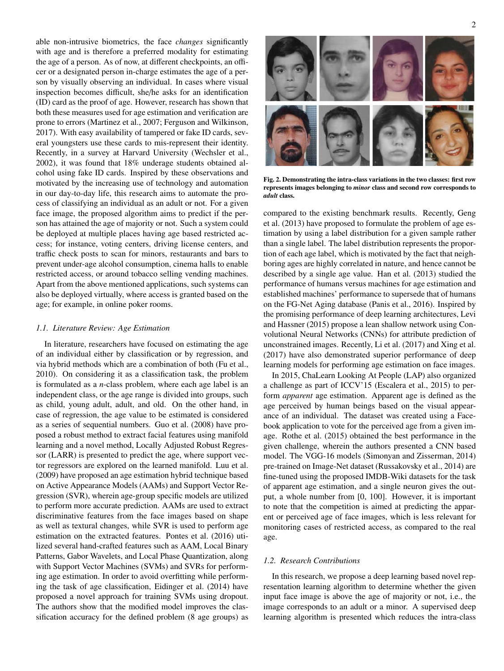able non-intrusive biometrics, the face *changes* significantly with age and is therefore a preferred modality for estimating the age of a person. As of now, at different checkpoints, an officer or a designated person in-charge estimates the age of a person by visually observing an individual. In cases where visual inspection becomes difficult, she/he asks for an identification (ID) card as the proof of age. However, research has shown that both these measures used for age estimation and verification are prone to errors (Martinez et al., 2007; Ferguson and Wilkinson, 2017). With easy availability of tampered or fake ID cards, several youngsters use these cards to mis-represent their identity. Recently, in a survey at Harvard University (Wechsler et al., 2002), it was found that 18% underage students obtained alcohol using fake ID cards. Inspired by these observations and motivated by the increasing use of technology and automation in our day-to-day life, this research aims to automate the process of classifying an individual as an adult or not. For a given face image, the proposed algorithm aims to predict if the person has attained the age of majority or not. Such a system could be deployed at multiple places having age based restricted access; for instance, voting centers, driving license centers, and traffic check posts to scan for minors, restaurants and bars to prevent under-age alcohol consumption, cinema halls to enable restricted access, or around tobacco selling vending machines. Apart from the above mentioned applications, such systems can also be deployed virtually, where access is granted based on the age; for example, in online poker rooms.

# *1.1. Literature Review: Age Estimation*

In literature, researchers have focused on estimating the age of an individual either by classification or by regression, and via hybrid methods which are a combination of both (Fu et al., 2010). On considering it as a classification task, the problem is formulated as a *n*-class problem, where each age label is an independent class, or the age range is divided into groups, such as child, young adult, adult, and old. On the other hand, in case of regression, the age value to be estimated is considered as a series of sequential numbers. Guo et al. (2008) have proposed a robust method to extract facial features using manifold learning and a novel method, Locally Adjusted Robust Regressor (LARR) is presented to predict the age, where support vector regressors are explored on the learned manifold. Luu et al. (2009) have proposed an age estimation hybrid technique based on Active Appearance Models (AAMs) and Support Vector Regression (SVR), wherein age-group specific models are utilized to perform more accurate prediction. AAMs are used to extract discriminative features from the face images based on shape as well as textural changes, while SVR is used to perform age estimation on the extracted features. Pontes et al. (2016) utilized several hand-crafted features such as AAM, Local Binary Patterns, Gabor Wavelets, and Local Phase Quantization, along with Support Vector Machines (SVMs) and SVRs for performing age estimation. In order to avoid overfitting while performing the task of age classification, Eidinger et al. (2014) have proposed a novel approach for training SVMs using dropout. The authors show that the modified model improves the classification accuracy for the defined problem (8 age groups) as



Fig. 2. Demonstrating the intra-class variations in the two classes: first row represents images belonging to *minor* class and second row corresponds to *adult* class.

compared to the existing benchmark results. Recently, Geng et al. (2013) have proposed to formulate the problem of age estimation by using a label distribution for a given sample rather than a single label. The label distribution represents the proportion of each age label, which is motivated by the fact that neighboring ages are highly correlated in nature, and hence cannot be described by a single age value. Han et al. (2013) studied the performance of humans versus machines for age estimation and established machines' performance to supersede that of humans on the FG-Net Aging database (Panis et al., 2016). Inspired by the promising performance of deep learning architectures, Levi and Hassner (2015) propose a lean shallow network using Convolutional Neural Networks (CNNs) for attribute prediction of unconstrained images. Recently, Li et al. (2017) and Xing et al. (2017) have also demonstrated superior performance of deep learning models for performing age estimation on face images.

In 2015, ChaLearn Looking At People (LAP) also organized a challenge as part of ICCV'15 (Escalera et al., 2015) to perform *apparent* age estimation. Apparent age is defined as the age perceived by human beings based on the visual appearance of an individual. The dataset was created using a Facebook application to vote for the perceived age from a given image. Rothe et al. (2015) obtained the best performance in the given challenge, wherein the authors presented a CNN based model. The VGG-16 models (Simonyan and Zisserman, 2014) pre-trained on Image-Net dataset (Russakovsky et al., 2014) are fine-tuned using the proposed IMDB-Wiki datasets for the task of apparent age estimation, and a single neuron gives the output, a whole number from [0, 100]. However, it is important to note that the competition is aimed at predicting the apparent or perceived age of face images, which is less relevant for monitoring cases of restricted access, as compared to the real age.

# *1.2. Research Contributions*

In this research, we propose a deep learning based novel representation learning algorithm to determine whether the given input face image is above the age of majority or not, i.e., the image corresponds to an adult or a minor. A supervised deep learning algorithm is presented which reduces the intra-class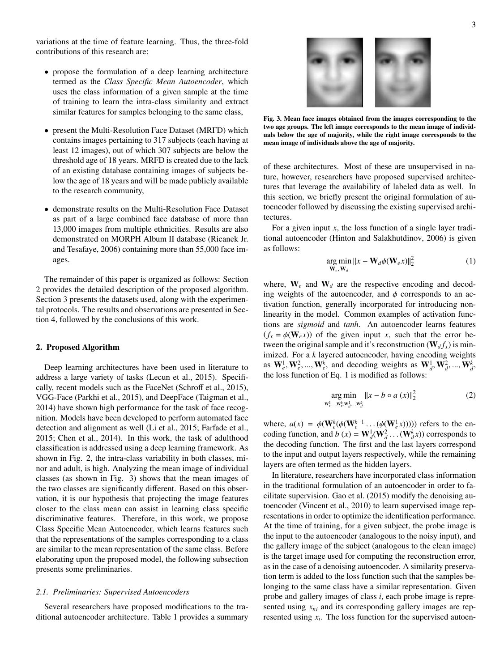variations at the time of feature learning. Thus, the three-fold contributions of this research are:

- propose the formulation of a deep learning architecture termed as the *Class Specific Mean Autoencoder*, which uses the class information of a given sample at the time of training to learn the intra-class similarity and extract similar features for samples belonging to the same class,
- present the Multi-Resolution Face Dataset (MRFD) which contains images pertaining to 317 subjects (each having at least 12 images), out of which 307 subjects are below the threshold age of 18 years. MRFD is created due to the lack of an existing database containing images of subjects below the age of 18 years and will be made publicly available to the research community,
- demonstrate results on the Multi-Resolution Face Dataset as part of a large combined face database of more than 13,000 images from multiple ethnicities. Results are also demonstrated on MORPH Album II database (Ricanek Jr. and Tesafaye, 2006) containing more than 55,000 face images.

The remainder of this paper is organized as follows: Section 2 provides the detailed description of the proposed algorithm. Section 3 presents the datasets used, along with the experimental protocols. The results and observations are presented in Section 4, followed by the conclusions of this work.

# 2. Proposed Algorithm

Deep learning architectures have been used in literature to address a large variety of tasks (Lecun et al., 2015). Specifically, recent models such as the FaceNet (Schroff et al., 2015), VGG-Face (Parkhi et al., 2015), and DeepFace (Taigman et al., 2014) have shown high performance for the task of face recognition. Models have been developed to perform automated face detection and alignment as well (Li et al., 2015; Farfade et al., 2015; Chen et al., 2014). In this work, the task of adulthood classification is addressed using a deep learning framework. As shown in Fig. 2, the intra-class variability in both classes, minor and adult, is high. Analyzing the mean image of individual classes (as shown in Fig. 3) shows that the mean images of the two classes are significantly different. Based on this observation, it is our hypothesis that projecting the image features closer to the class mean can assist in learning class specific discriminative features. Therefore, in this work, we propose Class Specific Mean Autoencoder, which learns features such that the representations of the samples corresponding to a class are similar to the mean representation of the same class. Before elaborating upon the proposed model, the following subsection presents some preliminaries.

#### *2.1. Preliminaries: Supervised Autoencoders*

Several researchers have proposed modifications to the traditional autoencoder architecture. Table 1 provides a summary



Fig. 3. Mean face images obtained from the images corresponding to the two age groups. The left image corresponds to the mean image of individuals below the age of majority, while the right image corresponds to the mean image of individuals above the age of majority.

of these architectures. Most of these are unsupervised in nature, however, researchers have proposed supervised architectures that leverage the availability of labeled data as well. In this section, we briefly present the original formulation of autoencoder followed by discussing the existing supervised architectures.

For a given input *x*, the loss function of a single layer traditional autoencoder (Hinton and Salakhutdinov, 2006) is given as follows:

$$
\underset{\mathbf{W}_e, \mathbf{W}_d}{\arg \min} ||x - \mathbf{W}_d \phi(\mathbf{W}_e x)||_2^2 \tag{1}
$$

where,  $W_e$  and  $W_d$  are the respective encoding and decoding weights of the autoencoder, and  $\phi$  corresponds to an activation function, generally incorporated for introducing nonlinearity in the model. Common examples of activation functions are *sigmoid* and *tanh*. An autoencoder learns features  $(f_x = \phi(\mathbf{W}_e x))$  of the given input *x*, such that the error between the original sample and it's reconstruction ( $W_d f_x$ ) is minimized. For a *k* layered autoencoder, having encoding weights as  $W_e^1, W_e^2, ..., W_e^k$ , and decoding weights as  $W_d^1, W_d^2, ..., W_d^k$ . the loss function of Eq. 1 is modified as follows:

$$
\underset{\mathbf{w}_{e,\dots,\mathbf{w}_{e}^{k},\mathbf{w}_{d}^{1},\dots,\mathbf{w}_{d}^{k}}{\arg \min} ||x - b \circ a(x)||_{2}^{2}
$$
 (2)

where,  $a(x) = \phi(\mathbf{W}_{e}^{k}(\phi(\mathbf{W}_{e}^{k-1} \dots (\phi(\mathbf{W}_{e}^{1} x))))$  refers to the encoding function, and  $b(x) = \mathbf{W}_d^1(\mathbf{W}_d^2 \dots (\mathbf{W}_d^k x))$  corresponds to the decoding function. The first and the last layers correspond to the input and output layers respectively, while the remaining layers are often termed as the hidden layers.

In literature, researchers have incorporated class information in the traditional formulation of an autoencoder in order to facilitate supervision. Gao et al. (2015) modify the denoising autoencoder (Vincent et al., 2010) to learn supervised image representations in order to optimize the identification performance. At the time of training, for a given subject, the probe image is the input to the autoencoder (analogous to the noisy input), and the gallery image of the subject (analogous to the clean image) is the target image used for computing the reconstruction error, as in the case of a denoising autoencoder. A similarity preservation term is added to the loss function such that the samples belonging to the same class have a similar representation. Given probe and gallery images of class *i*, each probe image is represented using *xni* and its corresponding gallery images are represented using *x<sup>i</sup>* . The loss function for the supervised autoen-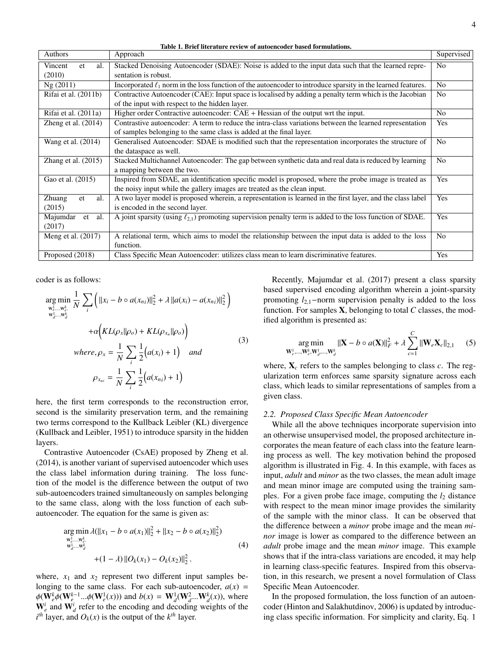Table 1. Brief literature review of autoencoder based formulations.

| Authors                | Approach                                                                                                          | Supervised     |
|------------------------|-------------------------------------------------------------------------------------------------------------------|----------------|
| al.<br>Vincent<br>et   | Stacked Denoising Autoencoder (SDAE): Noise is added to the input data such that the learned repre-               | N <sub>o</sub> |
| (2010)                 | sentation is robust.                                                                                              |                |
| Ng(2011)               | Incorporated $\ell_1$ norm in the loss function of the autoencoder to introduce sparsity in the learned features. | N <sub>o</sub> |
| Rifai et al. $(2011b)$ | Contractive Autoencoder (CAE): Input space is localised by adding a penalty term which is the Jacobian            | N <sub>o</sub> |
|                        | of the input with respect to the hidden layer.                                                                    |                |
| Rifai et al. (2011a)   | Higher order Contractive autoencoder: $CAE + Hessian$ of the output wrt the input.                                | N <sub>o</sub> |
| Zheng et al. $(2014)$  | Contrastive autoencoder: A term to reduce the intra-class variations between the learned representation           | <b>Yes</b>     |
|                        | of samples belonging to the same class is added at the final layer.                                               |                |
| Wang et al. (2014)     | Generalised Autoencoder: SDAE is modified such that the representation incorporates the structure of              | N <sub>o</sub> |
|                        | the dataspace as well.                                                                                            |                |
| Zhang et al. $(2015)$  | Stacked Multichannel Autoencoder: The gap between synthetic data and real data is reduced by learning             | N <sub>o</sub> |
|                        | a mapping between the two.                                                                                        |                |
| Gao et al. (2015)      | Inspired from SDAE, an identification specific model is proposed, where the probe image is treated as             | <b>Yes</b>     |
|                        | the noisy input while the gallery images are treated as the clean input.                                          |                |
| Zhuang<br>al.<br>et    | A two layer model is proposed wherein, a representation is learned in the first layer, and the class label        | Yes            |
| (2015)                 | is encoded in the second layer.                                                                                   |                |
| Majumdar<br>et al.     | A joint sparsity (using $\ell_{2,1}$ ) promoting supervision penalty term is added to the loss function of SDAE.  | Yes            |
| (2017)                 |                                                                                                                   |                |
| Meng et al. (2017)     | A relational term, which aims to model the relationship between the input data is added to the loss               | No.            |
|                        | function.                                                                                                         |                |
| Proposed (2018)        | Class Specific Mean Autoencoder: utilizes class mean to learn discriminative features.                            | Yes            |

coder is as follows:

$$
\arg\min_{\substack{\mathbf{w}_{i}^{1}, \dots, \mathbf{w}_{c}^{k}, \\ \mathbf{w}_{d}^{1}, \dots, \mathbf{w}_{d}^{k}}} \frac{1}{N} \sum_{i} \left( ||x_{i} - b \circ a(x_{ni})||_{2}^{2} + \lambda ||a(x_{i}) - a(x_{ni})||_{2}^{2} \right) \n+ \alpha \left( KL(\rho_{x} || \rho_{o}) + KL(\rho_{x_{n}} || \rho_{o}) \right) \nwhere, \rho_{x} = \frac{1}{N} \sum_{i} \frac{1}{2} (a(x_{i}) + 1) \quad and \n\rho_{x_{ni}} = \frac{1}{N} \sum_{i} \frac{1}{2} (a(x_{ni}) + 1)
$$
\n(3)

here, the first term corresponds to the reconstruction error, second is the similarity preservation term, and the remaining two terms correspond to the Kullback Leibler (KL) divergence (Kullback and Leibler, 1951) to introduce sparsity in the hidden layers.

Contrastive Autoencoder (CsAE) proposed by Zheng et al. (2014), is another variant of supervised autoencoder which uses the class label information during training. The loss function of the model is the difference between the output of two sub-autoencoders trained simultaneously on samples belonging to the same class, along with the loss function of each subautoencoder. The equation for the same is given as:

$$
\underset{\substack{w_{\ell}^1, \ldots, w_{\ell}^k, \\ w_{d}^1, \ldots, w_{d}^k}}{\arg \min} \frac{\lambda(||x_1 - b \circ a(x_1)||_2^2 + ||x_2 - b \circ a(x_2)||_2^2)}{||x_1 - x_2||_2^2}
$$
\n
$$
+ (1 - \lambda) ||O_k(x_1) - O_k(x_2)||_2^2. \tag{4}
$$

where,  $x_1$  and  $x_2$  represent two different input samples belonging to the same class. For each sub-autoencoder,  $a(x)$  =  $\phi(\mathbf{W}_{e}^{k} \phi(\mathbf{W}_{e}^{k-1} ... \phi(\mathbf{W}_{e}^{1}(x)))$  and  $b(x) = \mathbf{W}_{d}^{1}(\mathbf{W}_{d}^{2} ... \mathbf{W}_{d}^{k}(x))$ , where  $W_e^i$  and  $W_d^i$  refer to the encoding and decoding weights of the  $i^{th}$  layer, and  $O_k(x)$  is the output of the  $k^{th}$  layer.

Recently, Majumdar et al. (2017) present a class sparsity based supervised encoding algorithm wherein a joint-sparsity promoting *l*2,1−norm supervision penalty is added to the loss function. For samples X, belonging to total *C* classes, the modified algorithm is presented as:

$$
\underset{\mathbf{W}_{e}^{1}, \dots, \mathbf{W}_{e}^{k}, \mathbf{W}_{d}^{1}, \dots, \mathbf{W}_{d}^{k}}{\arg \min} ||\mathbf{X} - b \circ a(\mathbf{X})||_{F}^{2} + \lambda \sum_{c=1}^{C} ||\mathbf{W}_{e} \mathbf{X}_{c}||_{2,1} \qquad (5)
$$

*C*

where,  $X_c$  refers to the samples belonging to class  $c$ . The regularization term enforces same sparsity signature across each class, which leads to similar representations of samples from a given class.

## *2.2. Proposed Class Specific Mean Autoencoder*

While all the above techniques incorporate supervision into an otherwise unsupervised model, the proposed architecture incorporates the mean feature of each class into the feature learning process as well. The key motivation behind the proposed algorithm is illustrated in Fig. 4. In this example, with faces as input, *adult* and *minor* as the two classes, the mean adult image and mean minor image are computed using the training samples. For a given probe face image, computing the  $l_2$  distance with respect to the mean minor image provides the similarity of the sample with the minor class. It can be observed that the difference between a *minor* probe image and the mean *minor* image is lower as compared to the difference between an *adult* probe image and the mean *minor* image. This example shows that if the intra-class variations are encoded, it may help in learning class-specific features. Inspired from this observation, in this research, we present a novel formulation of Class Specific Mean Autoencoder.

In the proposed formulation, the loss function of an autoencoder (Hinton and Salakhutdinov, 2006) is updated by introducing class specific information. For simplicity and clarity, Eq. 1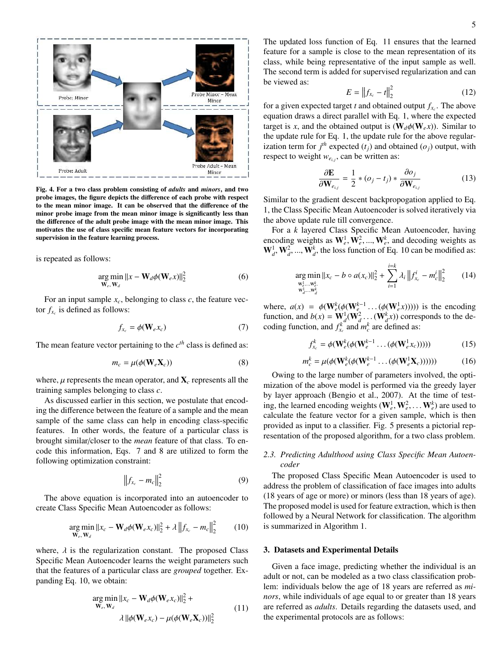

Fig. 4. For a two class problem consisting of *adults* and *minors*, and two probe images, the figure depicts the difference of each probe with respect to the mean minor image. It can be observed that the difference of the minor probe image from the mean minor image is significantly less than the difference of the adult probe image with the mean minor image. This motivates the use of class specific mean feature vectors for incorporating supervision in the feature learning process.

is repeated as follows:

$$
\underset{\mathbf{W}_e, \mathbf{W}_d}{\arg \min} ||x - \mathbf{W}_d \phi(\mathbf{W}_e x)||_2^2 \tag{6}
$$

For an input sample  $x_c$ , belonging to class  $c$ , the feature vector  $f_{x_c}$  is defined as follows:

$$
f_{x_c} = \phi(\mathbf{W}_e x_c) \tag{7}
$$

The mean feature vector pertaining to the *c th* class is defined as:

$$
m_c = \mu(\phi(\mathbf{W}_e \mathbf{X}_c))
$$
 (8)

where,  $\mu$  represents the mean operator, and  $\mathbf{X}_c$  represents all the training samples belonging to class *c*.

As discussed earlier in this section, we postulate that encoding the difference between the feature of a sample and the mean sample of the same class can help in encoding class-specific features. In other words, the feature of a particular class is brought similar/closer to the *mean* feature of that class. To encode this information, Eqs. 7 and 8 are utilized to form the following optimization constraint:

$$
\left\|f_{x_c} - m_c\right\|_2^2 \tag{9}
$$

The above equation is incorporated into an autoencoder to create Class Specific Mean Autoencoder as follows:

$$
\underset{\mathbf{W}_e, \mathbf{W}_d}{\arg \min} ||x_c - \mathbf{W}_d \phi(\mathbf{W}_e x_c)||_2^2 + \lambda ||f_{x_c} - m_c||_2^2 \qquad (10)
$$

where,  $\lambda$  is the regularization constant. The proposed Class Specific Mean Autoencoder learns the weight parameters such that the features of a particular class are *grouped* together. Expanding Eq. 10, we obtain:

$$
\arg\min_{\mathbf{W}_e, \mathbf{W}_d} ||x_c - \mathbf{W}_d \phi(\mathbf{W}_e x_c)||_2^2 +
$$
  
 
$$
\lambda ||\phi(\mathbf{W}_e x_c) - \mu(\phi(\mathbf{W}_e \mathbf{X}_c))||_2^2
$$
 (11)

The updated loss function of Eq. 11 ensures that the learned feature for a sample is close to the mean representation of its class, while being representative of the input sample as well. The second term is added for supervised regularization and can be viewed as:

$$
E = \|f_{x_c} - t\|_2^2
$$
 (12)

for a given expected target *t* and obtained output  $f_{x_c}$ . The above equation draws a direct parallel with Eq. 1, where the expected target is *x*, and the obtained output is  $(\mathbf{W}_d \phi(\mathbf{W}_e x))$ . Similar to the update rule for Eq. 1, the update rule for the above regularization term for  $j<sup>th</sup>$  expected  $(t<sub>j</sub>)$  and obtained  $(o<sub>j</sub>)$  output, with respect to weight  $w_{e_{i,j}}$ , can be written as:

$$
\frac{\partial \mathbf{E}}{\partial \mathbf{W}_{e_{i,j}}} = \frac{1}{2} * (o_j - t_j) * \frac{\partial o_j}{\partial \mathbf{W}_{e_{i,j}}}
$$
(13)

Similar to the gradient descent backpropogation applied to Eq. 1, the Class Specific Mean Autoencoder is solved iteratively via the above update rule till convergence.

For a *k* layered Class Specific Mean Autoencoder, having encoding weights as  $W_e^1, W_e^2, ..., W_e^k$ , and decoding weights as  $\mathbf{W}_d^1, \mathbf{W}_d^2, ..., \mathbf{W}_d^k$ , the loss function of Eq. 10 can be modified as:

$$
\underset{\substack{\mathbf{w}_{c}^1, \dots, \mathbf{w}_{c}^k, \\ \mathbf{w}_{d}^1, \dots, \mathbf{w}_{d}^k}}{\arg \min} \|x_c - b \circ a(x_c)\|_2^2 + \sum_{i=1}^{i=k} \lambda_i \|f_{x_c}^i - m_c^i\|_2^2 \qquad (14)
$$

where,  $a(x) = \phi(\mathbf{W}_{e}^{k}(\phi(\mathbf{W}_{e}^{k-1} \dots (\phi(\mathbf{W}_{e}^{1})))))$  is the encoding function, and  $b(x) = \mathbf{W}_d^1(\mathbf{W}_d^2 \dots (\mathbf{W}_d^k x))$  corresponds to the decoding function, and  $f_{x_c}^k$  and  $m_c^k$  are defined as:

$$
f_{x_c}^k = \phi(\mathbf{W}_e^k(\phi(\mathbf{W}_e^{k-1}\dots(\phi(\mathbf{W}_e^1 x_c))))))
$$
(15)

$$
m_c^k = \mu(\phi(\mathbf{W}_e^k(\phi(\mathbf{W}_e^{k-1}\dots(\phi(\mathbf{W}_e^1\mathbf{X}_c))))))
$$
(16)

Owing to the large number of parameters involved, the optimization of the above model is performed via the greedy layer by layer approach (Bengio et al., 2007). At the time of testing, the learned encoding weights  $(\mathbf{W}_{e}^1, \mathbf{W}_{e}^2, \dots, \mathbf{W}_{e}^k)$  are used to calculate the feature vector for a given sample, which is then provided as input to a classifier. Fig. 5 presents a pictorial representation of the proposed algorithm, for a two class problem.

# *2.3. Predicting Adulthood using Class Specific Mean Autoencoder*

The proposed Class Specific Mean Autoencoder is used to address the problem of classification of face images into adults (18 years of age or more) or minors (less than 18 years of age). The proposed model is used for feature extraction, which is then followed by a Neural Network for classification. The algorithm is summarized in Algorithm 1.

### 3. Datasets and Experimental Details

Given a face image, predicting whether the individual is an adult or not, can be modeled as a two class classification problem: individuals below the age of 18 years are referred as *minors*, while individuals of age equal to or greater than 18 years are referred as *adults*. Details regarding the datasets used, and the experimental protocols are as follows: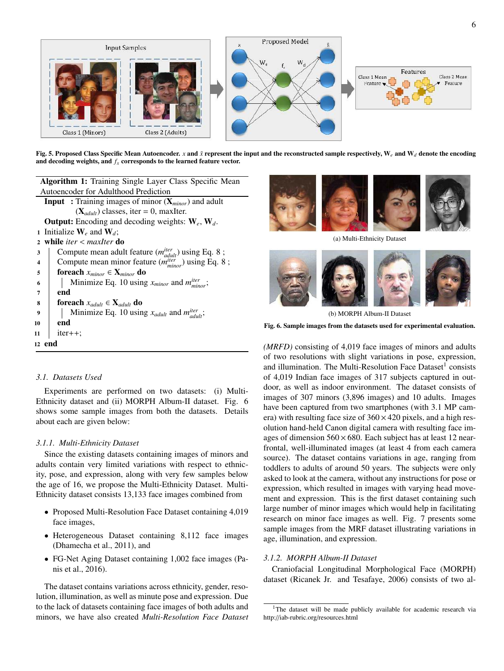

Fig. 5. Proposed Class Specific Mean Autoencoder. *x* and  $\tilde{x}$  represent the input and the reconstructed sample respectively, W<sub>e</sub> and W<sub>d</sub> denote the encoding and decoding weights, and  $f<sub>x</sub>$  corresponds to the learned feature vector.

| <b>Algorithm 1:</b> Training Single Layer Class Specific Mean     |  |  |  |  |
|-------------------------------------------------------------------|--|--|--|--|
| Autoencoder for Adulthood Prediction                              |  |  |  |  |
| <b>Input</b> : Training images of minor $(X_{minor})$ and adult   |  |  |  |  |
| $(\mathbf{X}_{adult})$ classes, iter = 0, maxilter.               |  |  |  |  |
| <b>Output:</b> Encoding and decoding weights: $W_e$ , $W_d$ .     |  |  |  |  |
| 1 Initialize $W_e$ and $W_d$ ;                                    |  |  |  |  |
| while <i>iter</i> $\langle$ <i>maxIter</i> do<br>$\mathbf{2}$     |  |  |  |  |
| Compute mean adult feature $(m_{adult}^{iter})$ using Eq. 8;<br>3 |  |  |  |  |
| Compute mean minor feature $(m_{minor}^{iter})$ using Eq. 8;<br>4 |  |  |  |  |
| foreach $x_{minor} \in \mathbf{X}_{minor}$ do<br>5                |  |  |  |  |
| Minimize Eq. 10 using $x_{minor}$ and $m_{minor}^{iter}$ ;<br>6   |  |  |  |  |
| end<br>7                                                          |  |  |  |  |
| <b>foreach</b> $x_{adult} \in \mathbf{X}_{adult}$ <b>do</b><br>8  |  |  |  |  |
| Minimize Eq. 10 using $x_{adult}$ and $m_{adult}^{iter}$ ;<br>9   |  |  |  |  |
| end<br>10                                                         |  |  |  |  |
| $iter++;$<br>11                                                   |  |  |  |  |
| 12 end                                                            |  |  |  |  |



Experiments are performed on two datasets: (i) Multi-Ethnicity dataset and (ii) MORPH Album-II dataset. Fig. 6 shows some sample images from both the datasets. Details about each are given below:

## *3.1.1. Multi-Ethnicity Dataset*

Since the existing datasets containing images of minors and adults contain very limited variations with respect to ethnicity, pose, and expression, along with very few samples below the age of 16, we propose the Multi-Ethnicity Dataset. Multi-Ethnicity dataset consists 13,133 face images combined from

- Proposed Multi-Resolution Face Dataset containing 4,019 face images,
- Heterogeneous Dataset containing 8,112 face images (Dhamecha et al., 2011), and
- FG-Net Aging Dataset containing 1,002 face images (Panis et al., 2016).

The dataset contains variations across ethnicity, gender, resolution, illumination, as well as minute pose and expression. Due to the lack of datasets containing face images of both adults and minors, we have also created *Multi-Resolution Face Dataset*



(a) Multi-Ethnicity Dataset



(b) MORPH Album-II Dataset

Fig. 6. Sample images from the datasets used for experimental evaluation.

*(MRFD)* consisting of 4,019 face images of minors and adults of two resolutions with slight variations in pose, expression, and illumination. The Multi-Resolution Face Dataset<sup>1</sup> consists of 4,019 Indian face images of 317 subjects captured in outdoor, as well as indoor environment. The dataset consists of images of 307 minors (3,896 images) and 10 adults. Images have been captured from two smartphones (with 3.1 MP camera) with resulting face size of  $360 \times 420$  pixels, and a high resolution hand-held Canon digital camera with resulting face images of dimension  $560 \times 680$ . Each subject has at least 12 nearfrontal, well-illuminated images (at least 4 from each camera source). The dataset contains variations in age, ranging from toddlers to adults of around 50 years. The subjects were only asked to look at the camera, without any instructions for pose or expression, which resulted in images with varying head movement and expression. This is the first dataset containing such large number of minor images which would help in facilitating research on minor face images as well. Fig. 7 presents some sample images from the MRF dataset illustrating variations in age, illumination, and expression.

# *3.1.2. MORPH Album-II Dataset*

Craniofacial Longitudinal Morphological Face (MORPH) dataset (Ricanek Jr. and Tesafaye, 2006) consists of two al-

<sup>&</sup>lt;sup>1</sup>The dataset will be made publicly available for academic research via http://iab-rubric.org/resources.html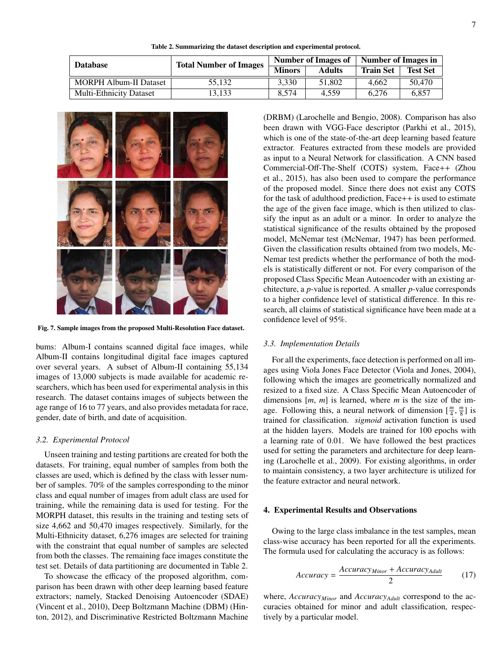Table 2. Summarizing the dataset description and experimental protocol.

| <b>Database</b>                | Number of Images in<br><b>Number of Images of</b><br><b>Total Number of Images</b> |               |               |                  |                                    |  |
|--------------------------------|------------------------------------------------------------------------------------|---------------|---------------|------------------|------------------------------------|--|
|                                |                                                                                    | <b>Minors</b> | <b>Adults</b> | <b>Train Set</b> | <b>Test Set</b><br>50,470<br>6.857 |  |
| <b>MORPH Album-II Dataset</b>  | 55.132                                                                             | 3.330         | 51,802        | 4.662            |                                    |  |
| <b>Multi-Ethnicity Dataset</b> | 13.133                                                                             | 8.574         | 4.559         | 6.276            |                                    |  |



Fig. 7. Sample images from the proposed Multi-Resolution Face dataset.

bums: Album-I contains scanned digital face images, while Album-II contains longitudinal digital face images captured over several years. A subset of Album-II containing 55,134 images of 13,000 subjects is made available for academic researchers, which has been used for experimental analysis in this research. The dataset contains images of subjects between the age range of 16 to 77 years, and also provides metadata for race, gender, date of birth, and date of acquisition.

#### *3.2. Experimental Protocol*

Unseen training and testing partitions are created for both the datasets. For training, equal number of samples from both the classes are used, which is defined by the class with lesser number of samples. 70% of the samples corresponding to the minor class and equal number of images from adult class are used for training, while the remaining data is used for testing. For the MORPH dataset, this results in the training and testing sets of size 4,662 and 50,470 images respectively. Similarly, for the Multi-Ethnicity dataset, 6,276 images are selected for training with the constraint that equal number of samples are selected from both the classes. The remaining face images constitute the test set. Details of data partitioning are documented in Table 2.

To showcase the efficacy of the proposed algorithm, comparison has been drawn with other deep learning based feature extractors; namely, Stacked Denoising Autoencoder (SDAE) (Vincent et al., 2010), Deep Boltzmann Machine (DBM) (Hinton, 2012), and Discriminative Restricted Boltzmann Machine (DRBM) (Larochelle and Bengio, 2008). Comparison has also been drawn with VGG-Face descriptor (Parkhi et al., 2015), which is one of the state-of-the-art deep learning based feature extractor. Features extracted from these models are provided as input to a Neural Network for classification. A CNN based Commercial-Off-The-Shelf (COTS) system, Face++ (Zhou et al., 2015), has also been used to compare the performance of the proposed model. Since there does not exist any COTS for the task of adulthood prediction, Face++ is used to estimate the age of the given face image, which is then utilized to classify the input as an adult or a minor. In order to analyze the statistical significance of the results obtained by the proposed model, McNemar test (McNemar, 1947) has been performed. Given the classification results obtained from two models, Mc-Nemar test predicts whether the performance of both the models is statistically different or not. For every comparison of the proposed Class Specific Mean Autoencoder with an existing architecture, a *p*-value is reported. A smaller *p*-value corresponds to a higher confidence level of statistical difference. In this research, all claims of statistical significance have been made at a confidence level of 95%.

# *3.3. Implementation Details*

For all the experiments, face detection is performed on all images using Viola Jones Face Detector (Viola and Jones, 2004), following which the images are geometrically normalized and resized to a fixed size. A Class Specific Mean Autoencoder of dimensions [*m*, *m*] is learned, where *m* is the size of the image. Following this, a neural network of dimension  $\left[\frac{m}{4}, \frac{m}{8}\right]$  is trained for classification. *sigmoid* activation function is used at the hidden layers. Models are trained for 100 epochs with a learning rate of 0.01. We have followed the best practices used for setting the parameters and architecture for deep learning (Larochelle et al., 2009). For existing algorithms, in order to maintain consistency, a two layer architecture is utilized for the feature extractor and neural network.

## 4. Experimental Results and Observations

Owing to the large class imbalance in the test samples, mean class-wise accuracy has been reported for all the experiments. The formula used for calculating the accuracy is as follows:

$$
Accuracy = \frac{Accuracy_{Minor} + Accuracy_{A dult}}{2}
$$
 (17)

where, *AccuracyMinor* and *AccuracyAdult* correspond to the accuracies obtained for minor and adult classification, respectively by a particular model.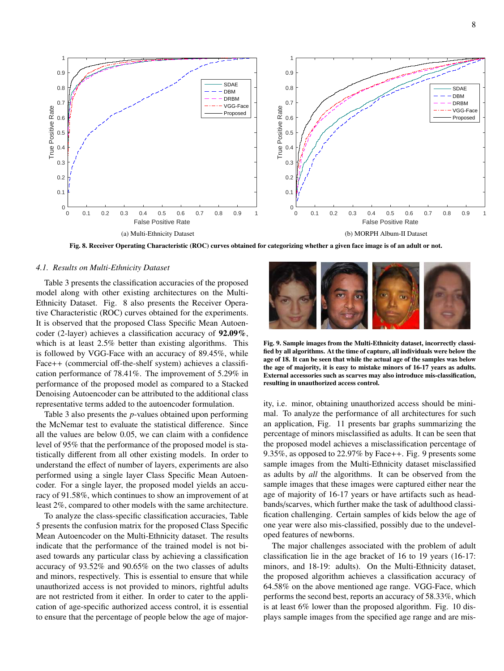

Fig. 8. Receiver Operating Characteristic (ROC) curves obtained for categorizing whether a given face image is of an adult or not.

#### *4.1. Results on Multi-Ethnicity Dataset*

Table 3 presents the classification accuracies of the proposed model along with other existing architectures on the Multi-Ethnicity Dataset. Fig. 8 also presents the Receiver Operative Characteristic (ROC) curves obtained for the experiments. It is observed that the proposed Class Specific Mean Autoencoder (2-layer) achieves a classification accuracy of 92.09%, which is at least 2.5% better than existing algorithms. This is followed by VGG-Face with an accuracy of 89.45%, while Face++ (commercial off-the-shelf system) achieves a classification performance of 78.41%. The improvement of 5.29% in performance of the proposed model as compared to a Stacked Denoising Autoencoder can be attributed to the additional class representative terms added to the autoencoder formulation.

Table 3 also presents the *p*-values obtained upon performing the McNemar test to evaluate the statistical difference. Since all the values are below 0.05, we can claim with a confidence level of 95% that the performance of the proposed model is statistically different from all other existing models. In order to understand the effect of number of layers, experiments are also performed using a single layer Class Specific Mean Autoencoder. For a single layer, the proposed model yields an accuracy of 91.58%, which continues to show an improvement of at least 2%, compared to other models with the same architecture.

To analyze the class-specific classification accuracies, Table 5 presents the confusion matrix for the proposed Class Specific Mean Autoencoder on the Multi-Ethnicity dataset. The results indicate that the performance of the trained model is not biased towards any particular class by achieving a classification accuracy of 93.52% and 90.65% on the two classes of adults and minors, respectively. This is essential to ensure that while unauthorized access is not provided to minors, rightful adults are not restricted from it either. In order to cater to the application of age-specific authorized access control, it is essential to ensure that the percentage of people below the age of major-



Fig. 9. Sample images from the Multi-Ethnicity dataset, incorrectly classified by all algorithms. At the time of capture, all individuals were below the age of 18. It can be seen that while the actual age of the samples was below the age of majority, it is easy to mistake minors of 16-17 years as adults. External accessories such as scarves may also introduce mis-classification, resulting in unauthorized access control.

ity, i.e. minor, obtaining unauthorized access should be minimal. To analyze the performance of all architectures for such an application, Fig. 11 presents bar graphs summarizing the percentage of minors misclassified as adults. It can be seen that the proposed model achieves a misclassification percentage of 9.35%, as opposed to 22.97% by Face++. Fig. 9 presents some sample images from the Multi-Ethnicity dataset misclassified as adults by *all* the algorithms. It can be observed from the sample images that these images were captured either near the age of majority of 16-17 years or have artifacts such as headbands/scarves, which further make the task of adulthood classification challenging. Certain samples of kids below the age of one year were also mis-classified, possibly due to the undeveloped features of newborns.

The major challenges associated with the problem of adult classification lie in the age bracket of 16 to 19 years (16-17: minors, and 18-19: adults). On the Multi-Ethnicity dataset, the proposed algorithm achieves a classification accuracy of 64.58% on the above mentioned age range. VGG-Face, which performs the second best, reports an accuracy of 58.33%, which is at least 6% lower than the proposed algorithm. Fig. 10 displays sample images from the specified age range and are mis-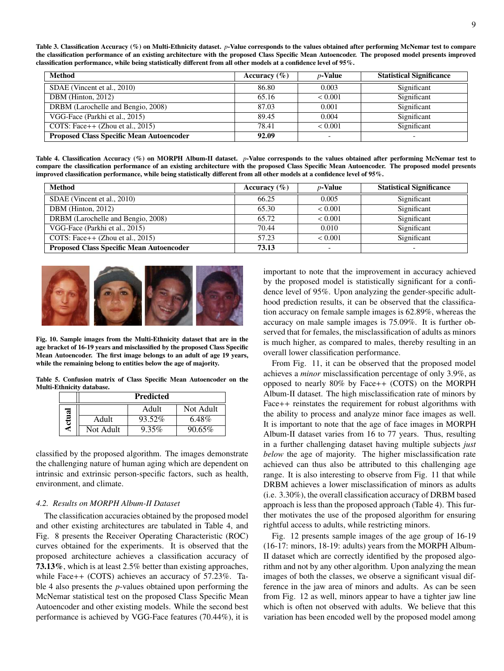Table 3. Classification Accuracy (%) on Multi-Ethnicity dataset. *p*-Value corresponds to the values obtained after performing McNemar test to compare the classification performance of an existing architecture with the proposed Class Specific Mean Autoencoder. The proposed model presents improved classification performance, while being statistically different from all other models at a confidence level of 95%.

| <b>Method</b>                                   | Accuracy $(\% )$ | $p$ -Value               | <b>Statistical Significance</b> |
|-------------------------------------------------|------------------|--------------------------|---------------------------------|
| SDAE (Vincent et al., 2010)                     | 86.80            | 0.003                    | Significant                     |
| DBM (Hinton, $2012$ )                           | 65.16            | < 0.001                  | Significant                     |
| DRBM (Larochelle and Bengio, 2008)              | 87.03            | 0.001                    | Significant                     |
| VGG-Face (Parkhi et al., 2015)                  | 89.45            | 0.004                    | Significant                     |
| COTS: Face++ $(Zhou et al., 2015)$              | 78.41            | ${}< 0.001$              | Significant                     |
| <b>Proposed Class Specific Mean Autoencoder</b> | 92.09            | $\overline{\phantom{0}}$ | $\overline{\phantom{0}}$        |

Table 4. Classification Accuracy (%) on MORPH Album-II dataset. *p*-Value corresponds to the values obtained after performing McNemar test to compare the classification performance of an existing architecture with the proposed Class Specific Mean Autoencoder. The proposed model presents improved classification performance, while being statistically different from all other models at a confidence level of 95%.

| <b>Method</b>                                   | Accuracy $(\% )$ | $p$ -Value               | <b>Statistical Significance</b> |
|-------------------------------------------------|------------------|--------------------------|---------------------------------|
| SDAE (Vincent et al., 2010)                     | 66.25            | 0.005                    | Significant                     |
| DBM (Hinton, 2012)                              | 65.30            | < 0.001                  | Significant                     |
| DRBM (Larochelle and Bengio, 2008)              | 65.72            | ${}_{0.001}$             | Significant                     |
| VGG-Face (Parkhi et al., 2015)                  | 70.44            | 0.010                    | Significant                     |
| COTS: Face++ $(Zhou et al., 2015)$              | 57.23            | < 0.001                  | Significant                     |
| <b>Proposed Class Specific Mean Autoencoder</b> | 73.13            | $\overline{\phantom{a}}$ | $\overline{\phantom{0}}$        |



Fig. 10. Sample images from the Multi-Ethnicity dataset that are in the age bracket of 16-19 years and misclassified by the proposed Class Specific Mean Autoencoder. The first image belongs to an adult of age 19 years, while the remaining belong to entities below the age of majority.

Table 5. Confusion matrix of Class Specific Mean Autoencoder on the Multi-Ethnicity database.

|       | <b>Predicted</b> |        |           |  |  |
|-------|------------------|--------|-----------|--|--|
|       |                  | Adult  | Not Adult |  |  |
| ctual | Adult            | 93.52% | 6.48%     |  |  |
| c     | Not Adult        | 9.35%  | $90.65\%$ |  |  |

classified by the proposed algorithm. The images demonstrate the challenging nature of human aging which are dependent on intrinsic and extrinsic person-specific factors, such as health, environment, and climate.

# *4.2. Results on MORPH Album-II Dataset*

The classification accuracies obtained by the proposed model and other existing architectures are tabulated in Table 4, and Fig. 8 presents the Receiver Operating Characteristic (ROC) curves obtained for the experiments. It is observed that the proposed architecture achieves a classification accuracy of 73.13%, which is at least 2.5% better than existing approaches, while Face++ (COTS) achieves an accuracy of 57.23%. Table 4 also presents the *p*-values obtained upon performing the McNemar statistical test on the proposed Class Specific Mean Autoencoder and other existing models. While the second best performance is achieved by VGG-Face features (70.44%), it is important to note that the improvement in accuracy achieved by the proposed model is statistically significant for a confidence level of 95%. Upon analyzing the gender-specific adulthood prediction results, it can be observed that the classification accuracy on female sample images is 62.89%, whereas the accuracy on male sample images is 75.09%. It is further observed that for females, the misclassification of adults as minors is much higher, as compared to males, thereby resulting in an overall lower classification performance.

From Fig. 11, it can be observed that the proposed model achieves a *minor* misclassification percentage of only 3.9%, as opposed to nearly 80% by Face++ (COTS) on the MORPH Album-II dataset. The high misclassification rate of minors by Face++ reinstates the requirement for robust algorithms with the ability to process and analyze minor face images as well. It is important to note that the age of face images in MORPH Album-II dataset varies from 16 to 77 years. Thus, resulting in a further challenging dataset having multiple subjects *just below* the age of majority. The higher misclassification rate achieved can thus also be attributed to this challenging age range. It is also interesting to observe from Fig. 11 that while DRBM achieves a lower misclassification of minors as adults (i.e. 3.30%), the overall classification accuracy of DRBM based approach is less than the proposed approach (Table 4). This further motivates the use of the proposed algorithm for ensuring rightful access to adults, while restricting minors.

Fig. 12 presents sample images of the age group of 16-19 (16-17: minors, 18-19: adults) years from the MORPH Album-II dataset which are correctly identified by the proposed algorithm and not by any other algorithm. Upon analyzing the mean images of both the classes, we observe a significant visual difference in the jaw area of minors and adults. As can be seen from Fig. 12 as well, minors appear to have a tighter jaw line which is often not observed with adults. We believe that this variation has been encoded well by the proposed model among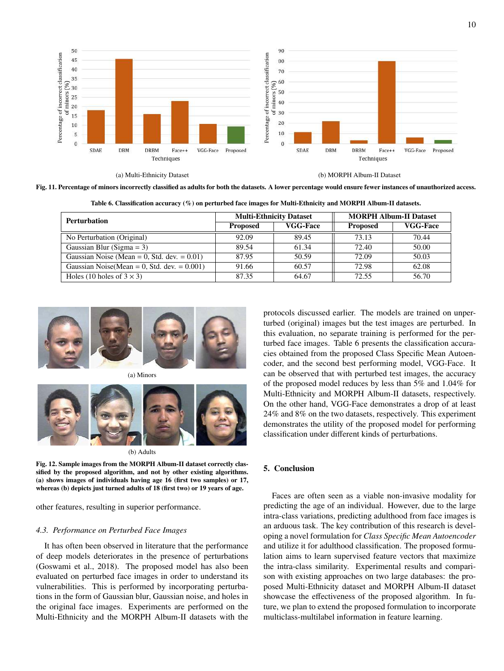

Fig. 11. Percentage of minors incorrectly classified as adults for both the datasets. A lower percentage would ensure fewer instances of unauthorized access.

| <b>Perturbation</b>                             |                 | <b>Multi-Ethnicity Dataset</b> | <b>MORPH Album-II Dataset</b> |                 |  |
|-------------------------------------------------|-----------------|--------------------------------|-------------------------------|-----------------|--|
|                                                 | <b>Proposed</b> | <b>VGG-Face</b>                | <b>Proposed</b>               | <b>VGG-Face</b> |  |
| No Perturbation (Original)                      | 92.09           | 89.45                          | 73.13                         | 70.44           |  |
| Gaussian Blur (Sigma = 3)                       | 89.54           | 61.34                          | 72.40                         | 50.00           |  |
| Gaussian Noise (Mean = 0, Std. dev. = $0.01$ )  | 87.95           | 50.59                          | 72.09                         | 50.03           |  |
| Gaussian Noise (Mean = 0, Std. dev. = $0.001$ ) | 91.66           | 60.57                          | 72.98                         | 62.08           |  |
| Holes (10 holes of $3 \times 3$ )               | 87.35           | 64.67                          | 72.55                         | 56.70           |  |

Table 6. Classification accuracy (%) on perturbed face images for Multi-Ethnicity and MORPH Album-II datasets.



(a) Minors



(b) Adults

Fig. 12. Sample images from the MORPH Album-II dataset correctly classified by the proposed algorithm, and not by other existing algorithms. (a) shows images of individuals having age 16 (first two samples) or 17, whereas (b) depicts just turned adults of 18 (first two) or 19 years of age.

other features, resulting in superior performance.

## *4.3. Performance on Perturbed Face Images*

It has often been observed in literature that the performance of deep models deteriorates in the presence of perturbations (Goswami et al., 2018). The proposed model has also been evaluated on perturbed face images in order to understand its vulnerabilities. This is performed by incorporating perturbations in the form of Gaussian blur, Gaussian noise, and holes in the original face images. Experiments are performed on the Multi-Ethnicity and the MORPH Album-II datasets with the protocols discussed earlier. The models are trained on unperturbed (original) images but the test images are perturbed. In this evaluation, no separate training is performed for the perturbed face images. Table 6 presents the classification accuracies obtained from the proposed Class Specific Mean Autoencoder, and the second best performing model, VGG-Face. It can be observed that with perturbed test images, the accuracy of the proposed model reduces by less than 5% and 1.04% for Multi-Ethnicity and MORPH Album-II datasets, respectively. On the other hand, VGG-Face demonstrates a drop of at least 24% and 8% on the two datasets, respectively. This experiment demonstrates the utility of the proposed model for performing classification under different kinds of perturbations.

# 5. Conclusion

Faces are often seen as a viable non-invasive modality for predicting the age of an individual. However, due to the large intra-class variations, predicting adulthood from face images is an arduous task. The key contribution of this research is developing a novel formulation for *Class Specific Mean Autoencoder* and utilize it for adulthood classification. The proposed formulation aims to learn supervised feature vectors that maximize the intra-class similarity. Experimental results and comparison with existing approaches on two large databases: the proposed Multi-Ethnicity dataset and MORPH Album-II dataset showcase the effectiveness of the proposed algorithm. In future, we plan to extend the proposed formulation to incorporate multiclass-multilabel information in feature learning.